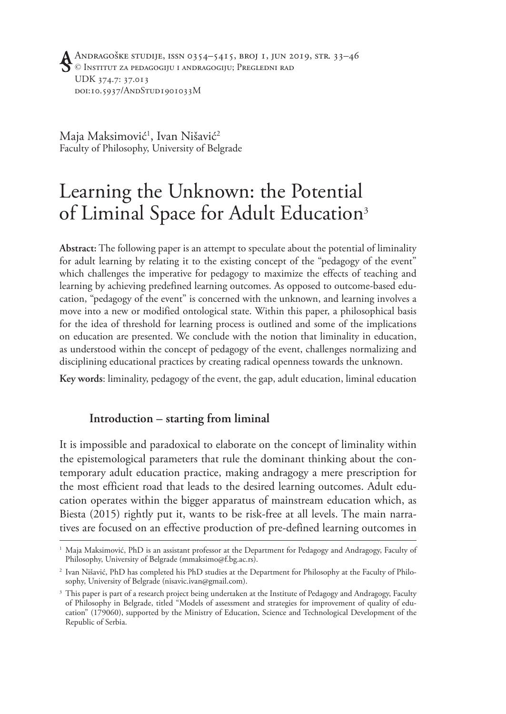Andragoške studije, issn 0354–5415, broj 1, jun 2019, str. 33–46 © Institut za pedagogiju i andragogiju; Pregledni rad UDK 374.7: 37.013 doi:10.5937/AndStud1901033M

Maja Maksimović<sup>1</sup>, Ivan Nišavić<sup>2</sup> Faculty of Philosophy, University of Belgrade

# Learning the Unknown: the Potential of Liminal Space for Adult Education<sup>3</sup>

**Abstract:** The following paper is an attempt to speculate about the potential of liminality for adult learning by relating it to the existing concept of the "pedagogy of the event" which challenges the imperative for pedagogy to maximize the effects of teaching and learning by achieving predefined learning outcomes. As opposed to outcome-based education, "pedagogy of the event" is concerned with the unknown, and learning involves a move into a new or modified ontological state. Within this paper, a philosophical basis for the idea of threshold for learning process is outlined and some of the implications on education are presented. We conclude with the notion that liminality in education, as understood within the concept of pedagogy of the event, challenges normalizing and disciplining educational practices by creating radical openness towards the unknown.

**Key words**: liminality, pedagogy of the event, the gap, adult education, liminal education

## **Introduction – starting from liminal**

It is impossible and paradoxical to elaborate on the concept of liminality within the epistemological parameters that rule the dominant thinking about the contemporary adult education practice, making andragogy a mere prescription for the most efficient road that leads to the desired learning outcomes. Adult education operates within the bigger apparatus of mainstream education which, as Biesta (2015) rightly put it, wants to be risk-free at all levels. The main narratives are focused on an effective production of pre-defined learning outcomes in

<sup>&</sup>lt;sup>1</sup> Maja Maksimović, PhD is an assistant professor at the Department for Pedagogy and Andragogy, Faculty of Philosophy, University of Belgrade (mmaksimo@f.bg.ac.rs).

<sup>2</sup> Ivan Nišavić, PhD has completed his PhD studies at the Department for Philosophy at the Faculty of Philosophy, University of Belgrade (nisavic.ivan@gmail.com).

<sup>&</sup>lt;sup>3</sup> This paper is part of a research project being undertaken at the Institute of Pedagogy and Andragogy, Faculty of Philosophy in Belgrade, titled "Models of assessment and strategies for improvement of quality of education" (179060), supported by the Ministry of Education, Science and Technological Development of the Republic of Serbia.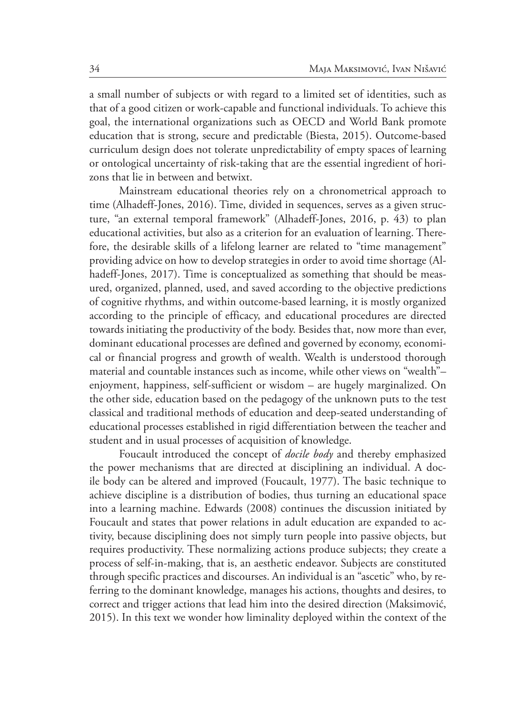a small number of subjects or with regard to a limited set of identities, such as that of a good citizen or work-capable and functional individuals. To achieve this goal, the international organizations such as OECD and World Bank promote education that is strong, secure and predictable (Biesta, 2015). Outcome-based curriculum design does not tolerate unpredictability of empty spaces of learning or ontological uncertainty of risk-taking that are the essential ingredient of horizons that lie in between and betwixt.

Mainstream educational theories rely on a chronometrical approach to time (Alhadeff-Jones, 2016). Time, divided in sequences, serves as a given structure, "an external temporal framework" (Alhadeff-Jones, 2016, p. 43) to plan educational activities, but also as a criterion for an evaluation of learning. Therefore, the desirable skills of a lifelong learner are related to "time management" providing advice on how to develop strategies in order to avoid time shortage (Alhadeff-Jones, 2017). Time is conceptualized as something that should be measured, organized, planned, used, and saved according to the objective predictions of cognitive rhythms, and within outcome-based learning, it is mostly organized according to the principle of efficacy, and educational procedures are directed towards initiating the productivity of the body. Besides that, now more than ever, dominant educational processes are defined and governed by economy, economical or financial progress and growth of wealth. Wealth is understood thorough material and countable instances such as income, while other views on "wealth"– enjoyment, happiness, self-sufficient or wisdom – are hugely marginalized. On the other side, education based on the pedagogy of the unknown puts to the test classical and traditional methods of education and deep-seated understanding of educational processes established in rigid differentiation between the teacher and student and in usual processes of acquisition of knowledge.

Foucault introduced the concept of *docile body* and thereby emphasized the power mechanisms that are directed at disciplining an individual. A docile body can be altered and improved (Foucault, 1977). The basic technique to achieve discipline is a distribution of bodies, thus turning an educational space into a learning machine. Edwards (2008) continues the discussion initiated by Foucault and states that power relations in adult education are expanded to activity, because disciplining does not simply turn people into passive objects, but requires productivity. These normalizing actions produce subjects; they create a process of self-in-making, that is, an aesthetic endeavor. Subjects are constituted through specific practices and discourses. An individual is an "ascetic" who, by referring to the dominant knowledge, manages his actions, thoughts and desires, to correct and trigger actions that lead him into the desired direction (Maksimović, 2015). In this text we wonder how liminality deployed within the context of the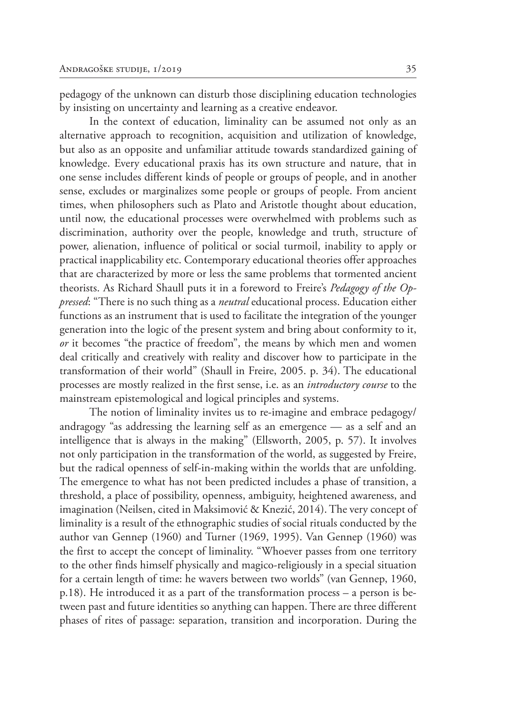pedagogy of the unknown can disturb those disciplining education technologies by insisting on uncertainty and learning as a creative endeavor.

In the context of education, liminality can be assumed not only as an alternative approach to recognition, acquisition and utilization of knowledge, but also as an opposite and unfamiliar attitude towards standardized gaining of knowledge. Every educational praxis has its own structure and nature, that in one sense includes different kinds of people or groups of people, and in another sense, excludes or marginalizes some people or groups of people. From ancient times, when philosophers such as Plato and Aristotle thought about education, until now, the educational processes were overwhelmed with problems such as discrimination, authority over the people, knowledge and truth, structure of power, alienation, influence of political or social turmoil, inability to apply or practical inapplicability etc. Contemporary educational theories offer approaches that are characterized by more or less the same problems that tormented ancient theorists. As Richard Shaull puts it in a foreword to Freire's *Pedagogy of the Oppressed*: "There is no such thing as a *neutral* educational process. Education either functions as an instrument that is used to facilitate the integration of the younger generation into the logic of the present system and bring about conformity to it, *or* it becomes "the practice of freedom", the means by which men and women deal critically and creatively with reality and discover how to participate in the transformation of their world" (Shaull in Freire, 2005. p. 34). The educational processes are mostly realized in the first sense, i.e. as an *introductory course* to the mainstream epistemological and logical principles and systems.

The notion of liminality invites us to re-imagine and embrace pedagogy/ andragogy "as addressing the learning self as an emergence — as a self and an intelligence that is always in the making" (Ellsworth, 2005, p. 57). It involves not only participation in the transformation of the world, as suggested by Freire, but the radical openness of self-in-making within the worlds that are unfolding. The emergence to what has not been predicted includes a phase of transition, a threshold, a place of possibility, openness, ambiguity, heightened awareness, and imagination (Neilsen, cited in Maksimović & Knezić, 2014). The very concept of liminality is a result of the ethnographic studies of social rituals conducted by the author van Gennep (1960) and Turner (1969, 1995). Van Gennep (1960) was the first to accept the concept of liminality. "Whoever passes from one territory to the other finds himself physically and magico-religiously in a special situation for a certain length of time: he wavers between two worlds" (van Gennep, 1960, p.18). He introduced it as a part of the transformation process – a person is between past and future identities so anything can happen. There are three different phases of rites of passage: separation, transition and incorporation. During the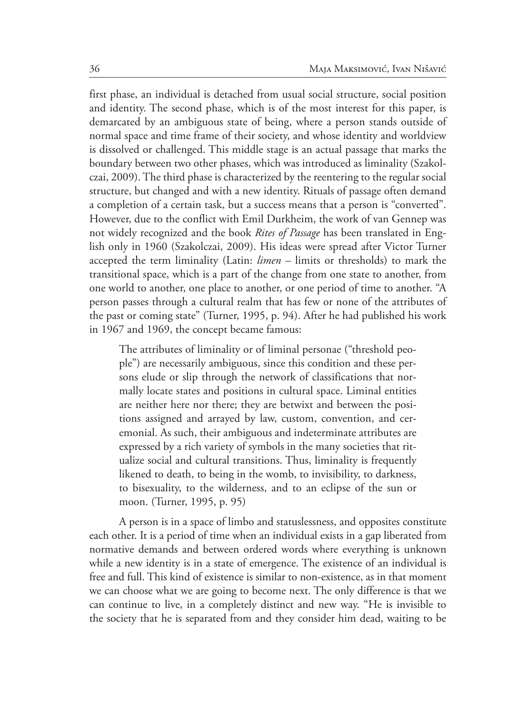first phase, an individual is detached from usual social structure, social position and identity. The second phase, which is of the most interest for this paper, is demarcated by an ambiguous state of being, where a person stands outside of normal space and time frame of their society, and whose identity and worldview is dissolved or challenged. This middle stage is an actual passage that marks the boundary between two other phases, which was introduced as liminality (Szakolczai, 2009). The third phase is characterized by the reentering to the regular social structure, but changed and with a new identity. Rituals of passage often demand a completion of a certain task, but a success means that a person is "converted". However, due to the conflict with Emil Durkheim, the work of van Gennep was not widely recognized and the book *Rites of Passage* has been translated in English only in 1960 (Szakolczai, 2009). His ideas were spread after Victor Turner accepted the term liminality (Latin: *limen* – limits or thresholds) to mark the transitional space, which is a part of the change from one state to another, from one world to another, one place to another, or one period of time to another. "A person passes through a cultural realm that has few or none of the attributes of the past or coming state" (Turner, 1995, p. 94). After he had published his work in 1967 and 1969, the concept became famous:

The attributes of liminality or of liminal personae ("threshold people") are necessarily ambiguous, since this condition and these persons elude or slip through the network of classifications that normally locate states and positions in cultural space. Liminal entities are neither here nor there; they are betwixt and between the positions assigned and arrayed by law, custom, convention, and ceremonial. As such, their ambiguous and indeterminate attributes are expressed by a rich variety of symbols in the many societies that ritualize social and cultural transitions. Thus, liminality is frequently likened to death, to being in the womb, to invisibility, to darkness, to bisexuality, to the wilderness, and to an eclipse of the sun or moon. (Turner, 1995, p. 95)

A person is in a space of limbo and statuslessness, and opposites constitute each other. It is a period of time when an individual exists in a gap liberated from normative demands and between ordered words where everything is unknown while a new identity is in a state of emergence. The existence of an individual is free and full. This kind of existence is similar to non-existence, as in that moment we can choose what we are going to become next. The only difference is that we can continue to live, in a completely distinct and new way. "He is invisible to the society that he is separated from and they consider him dead, waiting to be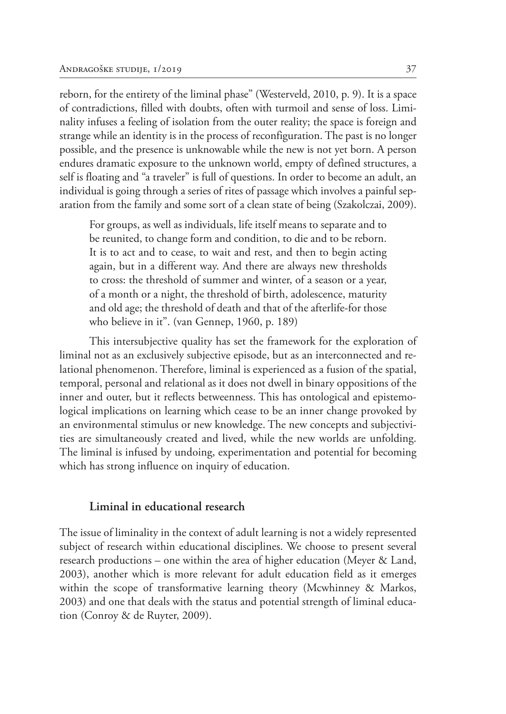reborn, for the entirety of the liminal phase" (Westerveld, 2010, p. 9). It is a space of contradictions, filled with doubts, often with turmoil and sense of loss. Liminality infuses a feeling of isolation from the outer reality; the space is foreign and strange while an identity is in the process of reconfiguration. The past is no longer possible, and the presence is unknowable while the new is not yet born. A person endures dramatic exposure to the unknown world, empty of defined structures, a self is floating and "a traveler" is full of questions. In order to become an adult, an individual is going through a series of rites of passage which involves a painful separation from the family and some sort of a clean state of being (Szakolczai, 2009).

For groups, as well as individuals, life itself means to separate and to be reunited, to change form and condition, to die and to be reborn. It is to act and to cease, to wait and rest, and then to begin acting again, but in a different way. And there are always new thresholds to cross: the threshold of summer and winter, of a season or a year, of a month or a night, the threshold of birth, adolescence, maturity and old age; the threshold of death and that of the afterlife-for those who believe in it". (van Gennep, 1960, p. 189)

This intersubjective quality has set the framework for the exploration of liminal not as an exclusively subjective episode, but as an interconnected and relational phenomenon. Therefore, liminal is experienced as a fusion of the spatial, temporal, personal and relational as it does not dwell in binary oppositions of the inner and outer, but it reflects betweenness. This has ontological and epistemological implications on learning which cease to be an inner change provoked by an environmental stimulus or new knowledge. The new concepts and subjectivities are simultaneously created and lived, while the new worlds are unfolding. The liminal is infused by undoing, experimentation and potential for becoming which has strong influence on inquiry of education.

#### **Liminal in educational research**

The issue of liminality in the context of adult learning is not a widely represented subject of research within educational disciplines. We choose to present several research productions – one within the area of higher education (Meyer & Land, 2003), another which is more relevant for adult education field as it emerges within the scope of transformative learning theory (Mcwhinney & Markos, 2003) and one that deals with the status and potential strength of liminal education (Conroy & de Ruyter, 2009).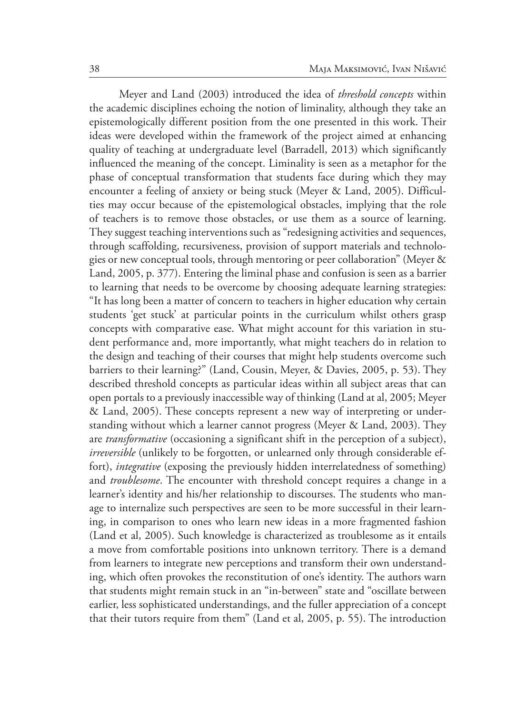Meyer and Land (2003) introduced the idea of *threshold concepts* within the academic disciplines echoing the notion of liminality, although they take an epistemologically different position from the one presented in this work. Their ideas were developed within the framework of the project aimed at enhancing quality of teaching at undergraduate level (Barradell, 2013) which significantly influenced the meaning of the concept. Liminality is seen as a metaphor for the phase of conceptual transformation that students face during which they may encounter a feeling of anxiety or being stuck (Meyer & Land, 2005). Difficulties may occur because of the epistemological obstacles, implying that the role of teachers is to remove those obstacles, or use them as a source of learning. They suggest teaching interventions such as "redesigning activities and sequences, through scaffolding, recursiveness, provision of support materials and technologies or new conceptual tools, through mentoring or peer collaboration" (Meyer & Land, 2005, p. 377). Entering the liminal phase and confusion is seen as a barrier to learning that needs to be overcome by choosing adequate learning strategies: "It has long been a matter of concern to teachers in higher education why certain students 'get stuck' at particular points in the curriculum whilst others grasp concepts with comparative ease. What might account for this variation in student performance and, more importantly, what might teachers do in relation to the design and teaching of their courses that might help students overcome such barriers to their learning?" (Land, Cousin, Meyer, & Davies, 2005, p. 53). They described threshold concepts as particular ideas within all subject areas that can open portals to a previously inaccessible way of thinking (Land at al, 2005; Meyer & Land, 2005). These concepts represent a new way of interpreting or understanding without which a learner cannot progress (Meyer & Land, 2003). They are *transformative* (occasioning a significant shift in the perception of a subject), *irreversible* (unlikely to be forgotten, or unlearned only through considerable effort), *integrative* (exposing the previously hidden interrelatedness of something) and *troublesome*. The encounter with threshold concept requires a change in a learner's identity and his/her relationship to discourses. The students who manage to internalize such perspectives are seen to be more successful in their learning, in comparison to ones who learn new ideas in a more fragmented fashion (Land et al, 2005). Such knowledge is characterized as troublesome as it entails a move from comfortable positions into unknown territory. There is a demand from learners to integrate new perceptions and transform their own understanding, which often provokes the reconstitution of one's identity. The authors warn that students might remain stuck in an "in-between" state and "oscillate between earlier, less sophisticated understandings, and the fuller appreciation of a concept that their tutors require from them" (Land et al, 2005, p. 55). The introduction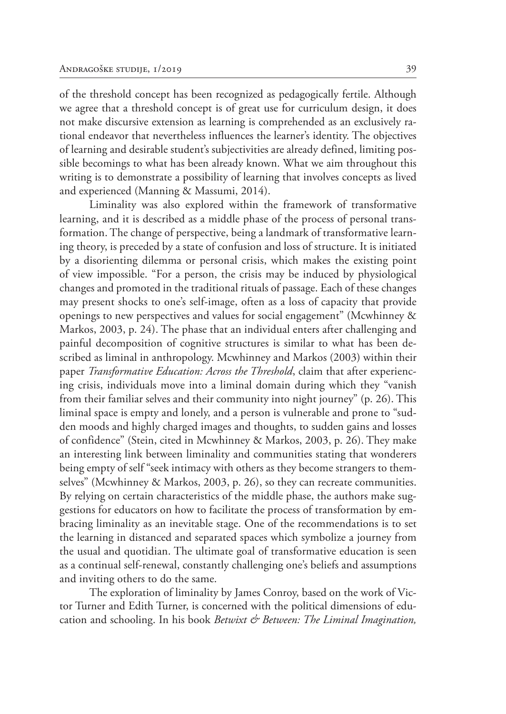of the threshold concept has been recognized as pedagogically fertile. Although we agree that a threshold concept is of great use for curriculum design, it does not make discursive extension as learning is comprehended as an exclusively rational endeavor that nevertheless influences the learner's identity. The objectives of learning and desirable student's subjectivities are already defined, limiting possible becomings to what has been already known. What we aim throughout this writing is to demonstrate a possibility of learning that involves concepts as lived and experienced (Manning & Massumi, 2014).

Liminality was also explored within the framework of transformative learning, and it is described as a middle phase of the process of personal transformation. The change of perspective, being a landmark of transformative learning theory, is preceded by a state of confusion and loss of structure. It is initiated by a disorienting dilemma or personal crisis, which makes the existing point of view impossible. "For a person, the crisis may be induced by physiological changes and promoted in the traditional rituals of passage. Each of these changes may present shocks to one's self-image, often as a loss of capacity that provide openings to new perspectives and values for social engagement" (Mcwhinney & Markos, 2003, p. 24). The phase that an individual enters after challenging and painful decomposition of cognitive structures is similar to what has been described as liminal in anthropology. Mcwhinney and Markos (2003) within their paper *Transformative Education: Across the Threshold*, claim that after experiencing crisis, individuals move into a liminal domain during which they "vanish from their familiar selves and their community into night journey" (p. 26). This liminal space is empty and lonely, and a person is vulnerable and prone to "sudden moods and highly charged images and thoughts, to sudden gains and losses of confidence" (Stein, cited in Mcwhinney & Markos, 2003, p. 26). They make an interesting link between liminality and communities stating that wonderers being empty of self "seek intimacy with others as they become strangers to themselves" (Mcwhinney & Markos, 2003, p. 26), so they can recreate communities. By relying on certain characteristics of the middle phase, the authors make suggestions for educators on how to facilitate the process of transformation by embracing liminality as an inevitable stage. One of the recommendations is to set the learning in distanced and separated spaces which symbolize a journey from the usual and quotidian. The ultimate goal of transformative education is seen as a continual self-renewal, constantly challenging one's beliefs and assumptions and inviting others to do the same.

The exploration of liminality by James Conroy, based on the work of Victor Turner and Edith Turner, is concerned with the political dimensions of education and schooling. In his book *Betwixt & Between: The Liminal Imagination,*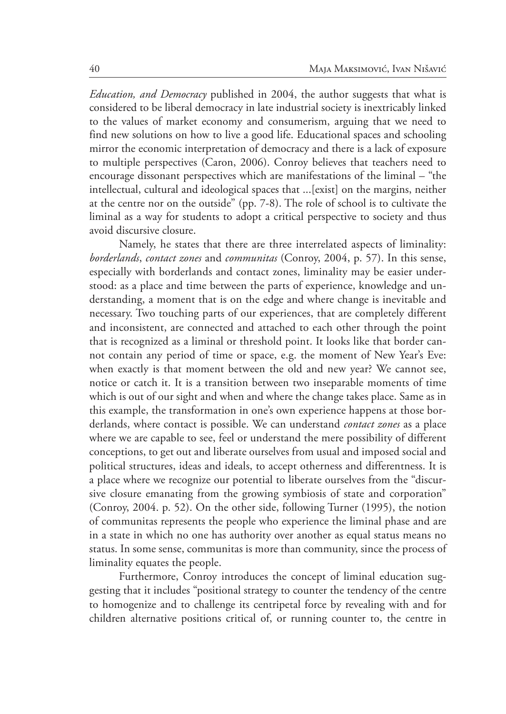*Education, and Democracy* published in 2004, the author suggests that what is considered to be liberal democracy in late industrial society is inextricably linked to the values of market economy and consumerism, arguing that we need to find new solutions on how to live a good life. Educational spaces and schooling mirror the economic interpretation of democracy and there is a lack of exposure to multiple perspectives (Caron, 2006). Conroy believes that teachers need to encourage dissonant perspectives which are manifestations of the liminal – "the intellectual, cultural and ideological spaces that ...[exist] on the margins, neither at the centre nor on the outside" (pp. 7-8). The role of school is to cultivate the liminal as a way for students to adopt a critical perspective to society and thus avoid discursive closure.

Namely, he states that there are three interrelated aspects of liminality: *borderlands*, *contact zones* and *communitas* (Conroy, 2004, p. 57). In this sense, especially with borderlands and contact zones, liminality may be easier understood: as a place and time between the parts of experience, knowledge and understanding, a moment that is on the edge and where change is inevitable and necessary. Two touching parts of our experiences, that are completely different and inconsistent, are connected and attached to each other through the point that is recognized as a liminal or threshold point. It looks like that border cannot contain any period of time or space, e.g. the moment of New Year's Eve: when exactly is that moment between the old and new year? We cannot see, notice or catch it. It is a transition between two inseparable moments of time which is out of our sight and when and where the change takes place. Same as in this example, the transformation in one's own experience happens at those borderlands, where contact is possible. We can understand *contact zones* as a place where we are capable to see, feel or understand the mere possibility of different conceptions, to get out and liberate ourselves from usual and imposed social and political structures, ideas and ideals, to accept otherness and differentness. It is a place where we recognize our potential to liberate ourselves from the "discursive closure emanating from the growing symbiosis of state and corporation" (Conroy, 2004. p. 52). On the other side, following Turner (1995), the notion of communitas represents the people who experience the liminal phase and are in a state in which no one has authority over another as equal status means no status. In some sense, communitas is more than community, since the process of liminality equates the people.

Furthermore, Conroy introduces the concept of liminal education suggesting that it includes "positional strategy to counter the tendency of the centre to homogenize and to challenge its centripetal force by revealing with and for children alternative positions critical of, or running counter to, the centre in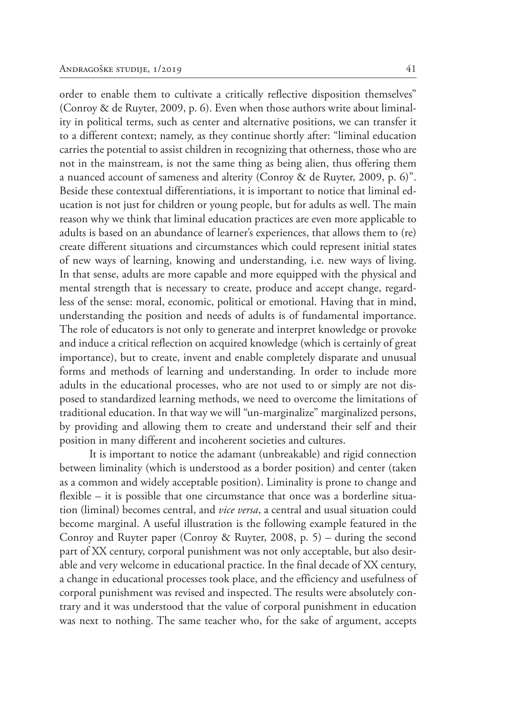order to enable them to cultivate a critically reflective disposition themselves" (Conroy & de Ruyter, 2009, p. 6). Even when those authors write about liminality in political terms, such as center and alternative positions, we can transfer it to a different context; namely, as they continue shortly after: "liminal education carries the potential to assist children in recognizing that otherness, those who are not in the mainstream, is not the same thing as being alien, thus offering them a nuanced account of sameness and alterity (Conroy & de Ruyter, 2009, p. 6)". Beside these contextual differentiations, it is important to notice that liminal education is not just for children or young people, but for adults as well. The main reason why we think that liminal education practices are even more applicable to adults is based on an abundance of learner's experiences, that allows them to (re) create different situations and circumstances which could represent initial states of new ways of learning, knowing and understanding, i.e. new ways of living. In that sense, adults are more capable and more equipped with the physical and mental strength that is necessary to create, produce and accept change, regardless of the sense: moral, economic, political or emotional. Having that in mind, understanding the position and needs of adults is of fundamental importance. The role of educators is not only to generate and interpret knowledge or provoke and induce a critical reflection on acquired knowledge (which is certainly of great importance), but to create, invent and enable completely disparate and unusual forms and methods of learning and understanding. In order to include more adults in the educational processes, who are not used to or simply are not disposed to standardized learning methods, we need to overcome the limitations of traditional education. In that way we will "un-marginalize" marginalized persons, by providing and allowing them to create and understand their self and their position in many different and incoherent societies and cultures.

It is important to notice the adamant (unbreakable) and rigid connection between liminality (which is understood as a border position) and center (taken as a common and widely acceptable position). Liminality is prone to change and flexible – it is possible that one circumstance that once was a borderline situation (liminal) becomes central, and *vice versa*, a central and usual situation could become marginal. A useful illustration is the following example featured in the Conroy and Ruyter paper (Conroy & Ruyter, 2008, p. 5) – during the second part of XX century, corporal punishment was not only acceptable, but also desirable and very welcome in educational practice. In the final decade of XX century, a change in educational processes took place, and the efficiency and usefulness of corporal punishment was revised and inspected. The results were absolutely contrary and it was understood that the value of corporal punishment in education was next to nothing. The same teacher who, for the sake of argument, accepts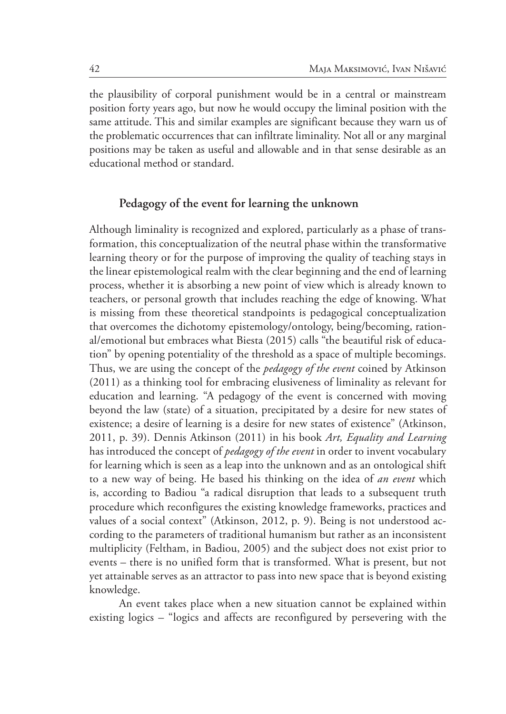the plausibility of corporal punishment would be in a central or mainstream position forty years ago, but now he would occupy the liminal position with the same attitude. This and similar examples are significant because they warn us of the problematic occurrences that can infiltrate liminality. Not all or any marginal positions may be taken as useful and allowable and in that sense desirable as an educational method or standard.

## **Pedagogy of the event for learning the unknown**

Although liminality is recognized and explored, particularly as a phase of transformation, this conceptualization of the neutral phase within the transformative learning theory or for the purpose of improving the quality of teaching stays in the linear epistemological realm with the clear beginning and the end of learning process, whether it is absorbing a new point of view which is already known to teachers, or personal growth that includes reaching the edge of knowing. What is missing from these theoretical standpoints is pedagogical conceptualization that overcomes the dichotomy epistemology/ontology, being/becoming, rational/emotional but embraces what Biesta (2015) calls "the beautiful risk of education" by opening potentiality of the threshold as a space of multiple becomings. Thus, we are using the concept of the *pedagogy of the event* coined by Atkinson (2011) as a thinking tool for embracing elusiveness of liminality as relevant for education and learning. "A pedagogy of the event is concerned with moving beyond the law (state) of a situation, precipitated by a desire for new states of existence; a desire of learning is a desire for new states of existence" (Atkinson, 2011, p. 39). Dennis Atkinson (2011) in his book *Art, Equality and Learning* has introduced the concept of *pedagogy of the event* in order to invent vocabulary for learning which is seen as a leap into the unknown and as an ontological shift to a new way of being. He based his thinking on the idea of *an event* which is, according to Badiou "a radical disruption that leads to a subsequent truth procedure which reconfigures the existing knowledge frameworks, practices and values of a social context" (Atkinson, 2012, p. 9). Being is not understood according to the parameters of traditional humanism but rather as an inconsistent multiplicity (Feltham, in Badiou, 2005) and the subject does not exist prior to events – there is no unified form that is transformed. What is present, but not yet attainable serves as an attractor to pass into new space that is beyond existing knowledge.

An event takes place when a new situation cannot be explained within existing logics – "logics and affects are reconfigured by persevering with the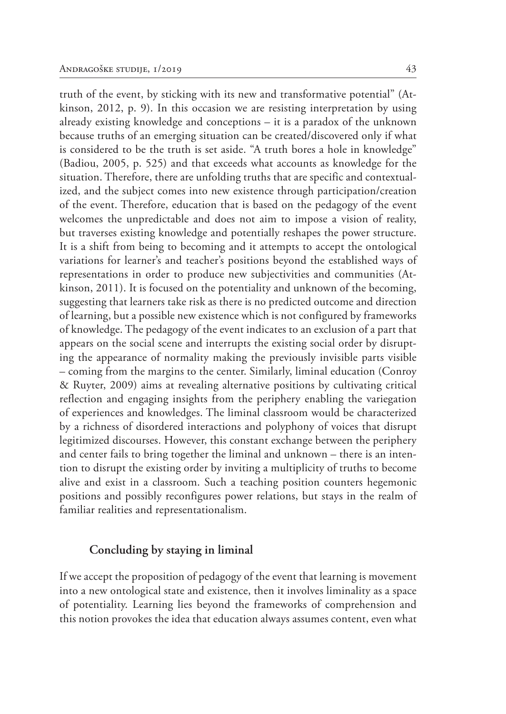truth of the event, by sticking with its new and transformative potential" (Atkinson, 2012, p. 9). In this occasion we are resisting interpretation by using already existing knowledge and conceptions – it is a paradox of the unknown because truths of an emerging situation can be created/discovered only if what is considered to be the truth is set aside. "A truth bores a hole in knowledge" (Badiou, 2005, p. 525) and that exceeds what accounts as knowledge for the situation. Therefore, there are unfolding truths that are specific and contextualized, and the subject comes into new existence through participation/creation of the event. Therefore, education that is based on the pedagogy of the event welcomes the unpredictable and does not aim to impose a vision of reality, but traverses existing knowledge and potentially reshapes the power structure. It is a shift from being to becoming and it attempts to accept the ontological variations for learner's and teacher's positions beyond the established ways of representations in order to produce new subjectivities and communities (Atkinson, 2011). It is focused on the potentiality and unknown of the becoming, suggesting that learners take risk as there is no predicted outcome and direction of learning, but a possible new existence which is not configured by frameworks of knowledge. The pedagogy of the event indicates to an exclusion of a part that appears on the social scene and interrupts the existing social order by disrupting the appearance of normality making the previously invisible parts visible – coming from the margins to the center. Similarly, liminal education (Conroy & Ruyter, 2009) aims at revealing alternative positions by cultivating critical reflection and engaging insights from the periphery enabling the variegation of experiences and knowledges. The liminal classroom would be characterized by a richness of disordered interactions and polyphony of voices that disrupt legitimized discourses. However, this constant exchange between the periphery and center fails to bring together the liminal and unknown – there is an intention to disrupt the existing order by inviting a multiplicity of truths to become alive and exist in a classroom. Such a teaching position counters hegemonic positions and possibly reconfigures power relations, but stays in the realm of familiar realities and representationalism.

### **Concluding by staying in liminal**

If we accept the proposition of pedagogy of the event that learning is movement into a new ontological state and existence, then it involves liminality as a space of potentiality. Learning lies beyond the frameworks of comprehension and this notion provokes the idea that education always assumes content, even what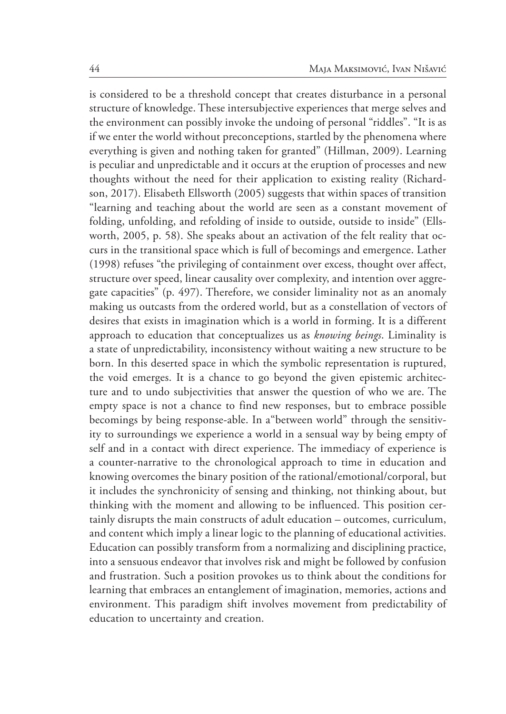is considered to be a threshold concept that creates disturbance in a personal structure of knowledge. These intersubjective experiences that merge selves and the environment can possibly invoke the undoing of personal "riddles". "It is as if we enter the world without preconceptions, startled by the phenomena where everything is given and nothing taken for granted" (Hillman, 2009). Learning is peculiar and unpredictable and it occurs at the eruption of processes and new thoughts without the need for their application to existing reality (Richardson, 2017). Elisabeth Ellsworth (2005) suggests that within spaces of transition "learning and teaching about the world are seen as a constant movement of folding, unfolding, and refolding of inside to outside, outside to inside" (Ellsworth, 2005, p. 58). She speaks about an activation of the felt reality that occurs in the transitional space which is full of becomings and emergence. Lather (1998) refuses "the privileging of containment over excess, thought over affect, structure over speed, linear causality over complexity, and intention over aggregate capacities" (p. 497). Therefore, we consider liminality not as an anomaly making us outcasts from the ordered world, but as a constellation of vectors of desires that exists in imagination which is a world in forming. It is a different approach to education that conceptualizes us as *knowing beings*. Liminality is a state of unpredictability, inconsistency without waiting a new structure to be born. In this deserted space in which the symbolic representation is ruptured, the void emerges. It is a chance to go beyond the given epistemic architecture and to undo subjectivities that answer the question of who we are. The empty space is not a chance to find new responses, but to embrace possible becomings by being response-able. In a"between world" through the sensitivity to surroundings we experience a world in a sensual way by being empty of self and in a contact with direct experience. The immediacy of experience is a counter-narrative to the chronological approach to time in education and knowing overcomes the binary position of the rational/emotional/corporal, but it includes the synchronicity of sensing and thinking, not thinking about, but thinking with the moment and allowing to be influenced. This position certainly disrupts the main constructs of adult education – outcomes, curriculum, and content which imply a linear logic to the planning of educational activities. Education can possibly transform from a normalizing and disciplining practice, into a sensuous endeavor that involves risk and might be followed by confusion and frustration. Such a position provokes us to think about the conditions for learning that embraces an entanglement of imagination, memories, actions and environment. This paradigm shift involves movement from predictability of education to uncertainty and creation.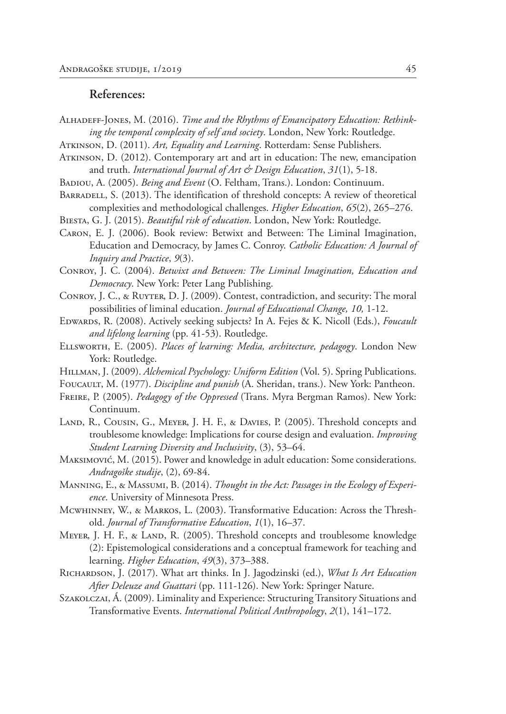### **References:**

- Alhadeff-Jones, M. (2016). *Time and the Rhythms of Emancipatory Education: Rethinking the temporal complexity of self and society*. London, New York: Routledge.
- Atkinson, D. (2011). *Art, Equality and Learning*. Rotterdam: Sense Publishers.
- Atkinson, D. (2012). Contemporary art and art in education: The new, emancipation and truth. *International Journal of Art & Design Education*, *31*(1), 5-18.
- Badiou, A. (2005). *Being and Event* (O. Feltham, Trans.). London: Continuum.
- BARRADELL, S. (2013). The identification of threshold concepts: A review of theoretical complexities and methodological challenges. *Higher Education*, *65*(2), 265–276.
- Biesta, G. J. (2015). *Beautiful risk of education*. London, New York: Routledge.
- Caron, E. J. (2006). Book review: Betwixt and Between: The Liminal Imagination, Education and Democracy, by James C. Conroy. *Catholic Education: A Journal of Inquiry and Practice*, *9*(3).
- Conroy, J. C. (2004). *Betwixt and Between: The Liminal Imagination, Education and Democracy*. New York: Peter Lang Publishing.
- Conroy, J. C., & Ruyter, D. J. (2009). Contest, contradiction, and security: The moral possibilities of liminal education. *Journal of Educational Change, 10,* 1-12.
- Edwards, R. (2008). Actively seeking subjects? In A. Fejes & K. Nicoll (Eds.), *Foucault and lifelong learning* (pp. 41-53). Routledge.
- Ellsworth, E. (2005). *Places of learning: Media, architecture, pedagogy*. London New York: Routledge.
- HILLMAN, J. (2009). *Alchemical Psychology: Uniform Edition* (Vol. 5). Spring Publications.
- FOUCAULT, M. (1977). *Discipline and punish* (A. Sheridan, trans.). New York: Pantheon.
- Freire, P. (2005). *Pedagogy of the Oppressed* (Trans. Myra Bergman Ramos). New York: Continuum.
- LAND, R., COUSIN, G., MEYER, J. H. F., & DAVIES, P. (2005). Threshold concepts and troublesome knowledge: Implications for course design and evaluation. *Improving Student Learning Diversity and Inclusivity*, (3), 53–64.
- Maksimović, M. (2015). Power and knowledge in adult education: Some considerations. *Andragoške studije*, (2), 69-84.
- Manning, E., & Massumi, B. (2014). *Thought in the Act: Passages in the Ecology of Experience*. University of Minnesota Press.
- Mcwhinney, W., & Markos, L. (2003). Transformative Education: Across the Threshold. *Journal of Transformative Education*, *1*(1), 16–37.
- MEYER, J. H. F., & LAND, R. (2005). Threshold concepts and troublesome knowledge (2): Epistemological considerations and a conceptual framework for teaching and learning. *Higher Education*, *49*(3), 373–388.
- Richardson, J. (2017). What art thinks. In J. Jagodzinski (ed.), *What Is Art Education After Deleuze and Guattari* (pp. 111-126). New York: Springer Nature.
- SZAKOLCZAI, Á. (2009). Liminality and Experience: Structuring Transitory Situations and Transformative Events. *International Political Anthropology*, *2*(1), 141–172.